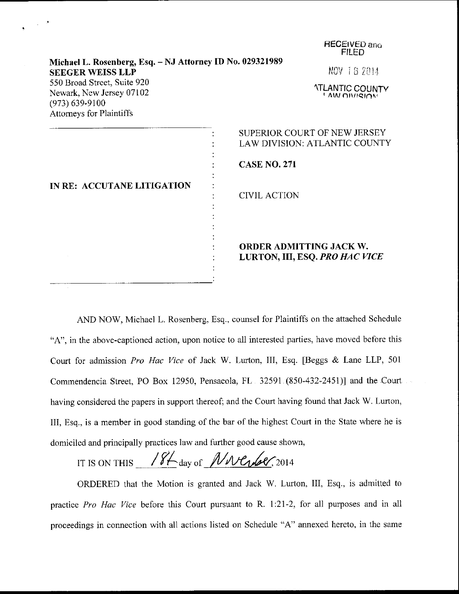|                                                                                                           | <b>FILED</b>                                                     |
|-----------------------------------------------------------------------------------------------------------|------------------------------------------------------------------|
| Michael L. Rosenberg, Esq. - NJ Attorney ID No. 029321989<br><b>SEEGER WEISS LLP</b>                      | NOV 18 2014                                                      |
| 550 Broad Street, Suite 920<br>Newark, New Jersey 07102<br>$(973) 639 - 9100$<br>Attorneys for Plaintiffs | <b>ATLANTIC COUNTY</b><br><b>LAW DIVISION</b>                    |
|                                                                                                           | SUPERIOR COURT OF NEW JERSEY<br>LAW DIVISION: ATLANTIC COUNTY    |
| IN RE: ACCUTANE LITIGATION                                                                                | <b>CASE NO. 271</b>                                              |
|                                                                                                           | <b>CIVIL ACTION</b>                                              |
|                                                                                                           | <b>ORDER ADMITTING JACK W.</b><br>LURTON, III, ESQ. PRO HAC VICE |

FIECEIVED anr,

AND NOW, Michael L. Rosenberg, Esq., counsel for Plaintiffs on the attached Schedule "A", in the above-captioned action, upon notice to all interested parties, have moved before this Court for admission Pro Hac Vice of Iack W. Lurton, III, Esq. [Beggs & Lane LLP, <sup>501</sup> Commendencia Street, PO Box 12950, Pensacola, FL 32591 (850-432-2451)] and the Court having considered the papers in support thereof; and the Court having found that Jack W. Lurton, III, Esq., is a member in good standing of the bar of the highest Court in the State where he is domiciled and principally practices law and further good cause shown,

IT IS ON THIS  $\frac{18}{4}$  day of  $\frac{N}{N}$  or  $\frac{6}{2014}$ 

ORDERED that the Motion is granted and Jack W. Lurton, III, Esq., is admitted to practice Pro Hac Vice before this Court pursuant to R. 1:21-2, for all purposes and in all proceedings in connection with all actions listed on Schedule "A" annexed hereto, in the same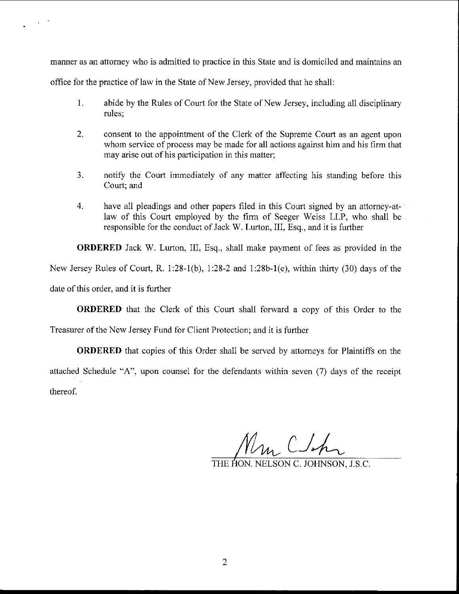manner as an attorney who is admitted to practice in this State and is domiciled and maintains an

office for the practice of law in the State of New Jersey, provided that he shall:

- 1. abide by the Rules of Court for the State of New Jersey, including all disciplinary rules;
- 2. consent to the appointment of the Clerk of the Supreme Court as an agent upon whom service of process may be made for all actions against him and his firm that may arise out of his participation in this matter;
- 3. notify the Court immediately of any matter affecting his standing before this Court; and
- 4. have all pleadings and other papers filed in this Court signed by an attomey-atlaw of this Court employed by the firm of Seeger Weiss LLP, who shall be responsible for the conduct of Jack W. Lurton, III, Esq., and it is further

ORDERED Jack W. Lurton, III, Esq., shall make payment of fees as provided in the New Jersey Rules of Court, R. 1:28-1(b), 1:28-2 and 1:28b-1(e), within thirty (30) days of the date of this order, and it is further

ORDERED that the Clerk of this Court shall forward a copy of this Order to the

Treasurer of the New Jersey Fund for Client Protection; and it is further

ORDERED that copies of this Order shall be served by attomeys for Plaintiffs on the attached Schedule "A", upon counsel for the defendants within seven (7) days of the receipt thereof.

Un Clock

THE HON. NELSON C. JOHNSON. LS.C.